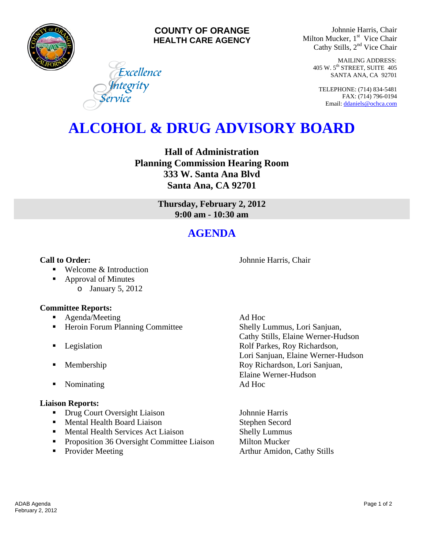

# **COUNTY OF ORANGE HEALTH CARE AGENCY**

Johnnie Harris, Chair Milton Mucker, 1<sup>st</sup> Vice Chair Cathy Stills, 2<sup>nd</sup> Vice Chair

> MAILING ADDRESS: 405 W. 5th STREET, SUITE 405 SANTA ANA, CA 92701

TELEPHONE: (714) 834-5481 FAX: (714) 796-0194 Email: [ddaniels@ochca.com](mailto:ddaniels@ochca.com)

# **ALCOHOL & DRUG ADVISORY BOARD**

**Hall of Administration Planning Commission Hearing Room 333 W. Santa Ana Blvd Santa Ana, CA 92701** 

> **Thursday, February 2, 2012 9:00 am - 10:30 am**

# **AGENDA**

### **Call to Order:** Johnnie Harris, Chair

■ Welcome & Introduction

■ Approval of Minutes o January 5, 2012

# **Committee Reports:**

- Agenda/Meeting Ad Hoc
- Heroin Forum Planning Committee Shelly Lummus, Lori Sanjuan,

Excellence

Jntegrity<br>Tervice

- 
- 
- Nominating Ad Hoc

#### **Liaison Reports:**

- Drug Court Oversight Liaison Johnnie Harris
- **Mental Health Board Liaison** Stephen Secord
- **Mental Health Services Act Liaison** Shelly Lummus
- **Proposition 36 Oversight Committee Liaison** Milton Mucker
- 

 Cathy Stills, Elaine Werner-Hudson **Example 3** Legislation **Rolf Parkes, Roy Richardson,** Lori Sanjuan, Elaine Werner-Hudson **Membership Roy Richardson, Lori Sanjuan,** Elaine Werner-Hudson

• Provider Meeting **Arthur Amidon, Cathy Stills**